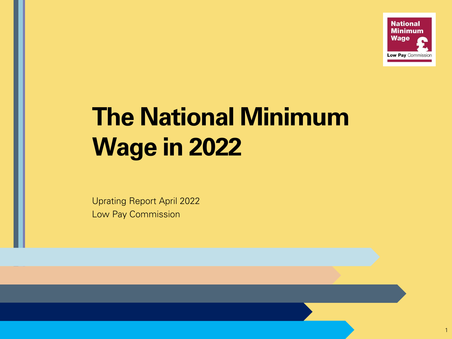

# **The National Minimum Wage in 2022**

Uprating Report April 2022 Low Pay Commission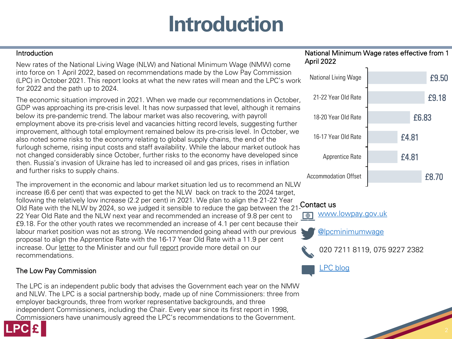# **Introduction**

| Introduction                                                                                                                                                                                                                                                                                                | National Minimum Wage rates effective from 1<br>April 2022 |       |       |
|-------------------------------------------------------------------------------------------------------------------------------------------------------------------------------------------------------------------------------------------------------------------------------------------------------------|------------------------------------------------------------|-------|-------|
| New rates of the National Living Wage (NLW) and National Minimum Wage (NMW) come<br>into force on 1 April 2022, based on recommendations made by the Low Pay Commission<br>(LPC) in October 2021. This report looks at what the new rates will mean and the LPC's work<br>for 2022 and the path up to 2024. | National Living Wage                                       |       | £9.50 |
| The economic situation improved in 2021. When we made our recommendations in October,                                                                                                                                                                                                                       | 21-22 Year Old Rate                                        |       | £9.18 |
| GDP was approaching its pre-crisis level. It has now surpassed that level, although it remains<br>below its pre-pandemic trend. The labour market was also recovering, with payroll<br>employment above its pre-crisis level and vacancies hitting record levels, suggesting further                        | 18-20 Year Old Rate                                        | £6.83 |       |
| improvement, although total employment remained below its pre-crisis level. In October, we<br>also noted some risks to the economy relating to global supply chains, the end of the<br>furlough scheme, rising input costs and staff availability. While the labour market outlook has                      | 16-17 Year Old Rate                                        | £4.81 |       |
| not changed considerably since October, further risks to the economy have developed since<br>then. Russia's invasion of Ukraine has led to increased oil and gas prices, rises in inflation                                                                                                                 | Apprentice Rate                                            | £4.81 |       |
| and further risks to supply chains.                                                                                                                                                                                                                                                                         | <b>Accommodation Offset</b>                                |       | £8.70 |
| The improvement in the economic and labour market situation led us to recommend an NLW<br>increase (6.6 per cent) that was expected to get the NLW back on track to the 2024 target,<br>following the relatively low increase (2.2 per cent) in 2021. We plan to align the 21-22 Year                       | $\sum$ is the set of $\sum$                                |       |       |

#### Old Rate with the NLW by 2024, so we judged it sensible to reduce the gap between the 21- Contact us

[www.lowpay.gov.uk](http://www.lowpay.gov.uk/)  $\boxed{\oplus}$ 

[@lpcminimumwage](https://twitter.com/lpcminimumwage)

020 7211 8119, 075 9227 2382

[LPC blog](https://minimumwage.blog.gov.uk/)

#### The Low Pay Commission

recommendations.

The LPC is an independent public body that advises the Government each year on the NMW and NLW. The LPC is a social partnership body, made up of nine Commissioners: three from employer backgrounds, three from worker representative backgrounds, and three independent Commissioners, including the Chair. Every year since its first report in 1998, Commissioners have unanimously agreed the LPC's recommendations to the Government.

22 Year Old Rate and the NLW next year and recommended an increase of 9.8 per cent to £9.18. For the other youth rates we recommended an increase of 4.1 per cent because their labour market position was not as strong. We recommended going ahead with our previous proposal to align the Apprentice Rate with the 16-17 Year Old Rate with a 11.9 per cent

increase. Our [letter](https://www.gov.uk/government/publications/minimum-wage-rates-for-2022) to the Minister and our full [report](https://www.gov.uk/government/publications/low-pay-commission-report-2021) provide more detail on our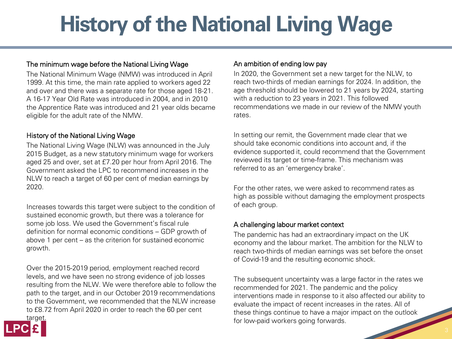# **History of the National Living Wage**

#### The minimum wage before the National Living Wage

The National Minimum Wage (NMW) was introduced in April 1999. At this time, the main rate applied to workers aged 22 and over and there was a separate rate for those aged 18-21. A 16-17 Year Old Rate was introduced in 2004, and in 2010 the Apprentice Rate was introduced and 21 year olds became eligible for the adult rate of the NMW.

#### History of the National Living Wage

The National Living Wage (NLW) was announced in the July 2015 Budget, as a new statutory minimum wage for workers aged 25 and over, set at £7.20 per hour from April 2016. The Government asked the LPC to recommend increases in the NLW to reach a target of 60 per cent of median earnings by 2020.

Increases towards this target were subject to the condition of sustained economic growth, but there was a tolerance for some job loss. We used the Government's fiscal rule definition for normal economic conditions – GDP growth of above 1 per cent – as the criterion for sustained economic growth.

Over the 2015-2019 period, employment reached record levels, and we have seen no strong evidence of job losses resulting from the NLW. We were therefore able to follow the path to the target, and in our October 2019 recommendations to the Government, we recommended that the NLW increase to £8.72 from April 2020 in order to reach the 60 per cent



#### An ambition of ending low pay

In 2020, the Government set a new target for the NLW, to reach two-thirds of median earnings for 2024. In addition, the age threshold should be lowered to 21 years by 2024, starting with a reduction to 23 years in 2021. This followed recommendations we made in our review of the NMW youth rates.

In setting our remit, the Government made clear that we should take economic conditions into account and, if the evidence supported it, could recommend that the Government reviewed its target or time-frame. This mechanism was referred to as an 'emergency brake'.

For the other rates, we were asked to recommend rates as high as possible without damaging the employment prospects of each group.

#### A challenging labour market context

The pandemic has had an extraordinary impact on the UK economy and the labour market. The ambition for the NLW to reach two-thirds of median earnings was set before the onset of Covid-19 and the resulting economic shock.

The subsequent uncertainty was a large factor in the rates we recommended for 2021. The pandemic and the policy interventions made in response to it also affected our ability to evaluate the impact of recent increases in the rates. All of these things continue to have a major impact on the outlook for low-paid workers going forwards.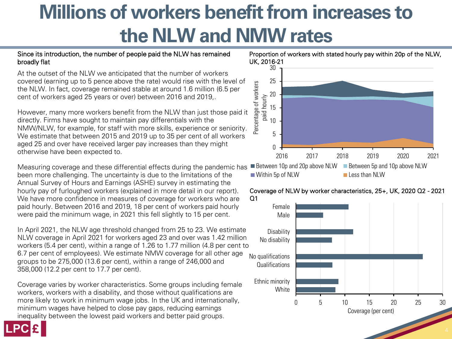### **Millions of workers benefit from increases to the NLW and NMW rates**

#### Since its introduction, the number of people paid the NLW has remained broadly flat

At the outset of the NLW we anticipated that the number of workers covered (earning up to 5 pence above the rate) would rise with the level of the NLW. In fact, coverage remained stable at around 1.6 million (6.5 per cent of workers aged 25 years or over) between 2016 and 2019,.

However, many more workers benefit from the NLW than just those paid it directly. Firms have sought to maintain pay differentials with the NMW/NLW, for example, for staff with more skills, experience or seniority. We estimate that between 2015 and 2019 up to 35 per cent of all workers aged 25 and over have received larger pay increases than they might otherwise have been expected to.

Measuring coverage and these differential effects during the pandemic has been more challenging. The uncertainty is due to the limitations of the Annual Survey of Hours and Earnings (ASHE) survey in estimating the hourly pay of furloughed workers (explained in more detail in our report). We have more confidence in measures of coverage for workers who are paid hourly. Between 2016 and 2019, 18 per cent of workers paid hourly were paid the minimum wage, in 2021 this fell slightly to 15 per cent.

In April 2021, the NLW age threshold changed from 25 to 23. We estimate NLW coverage in April 2021 for workers aged 23 and over was 1.42 million workers (5.4 per cent), within a range of 1.26 to 1.77 million (4.8 per cent to 6.7 per cent of employees). We estimate NMW coverage for all other age groups to be 275,000 (13.6 per cent), within a range of 246,000 and 358,000 (12.2 per cent to 17.7 per cent).

Coverage varies by worker characteristics. Some groups including female workers, workers with a disability, and those without qualifications are more likely to work in minimum wage jobs. In the UK and internationally, minimum wages have helped to close pay gaps, reducing earnings inequality between the lowest paid workers and better paid groups.







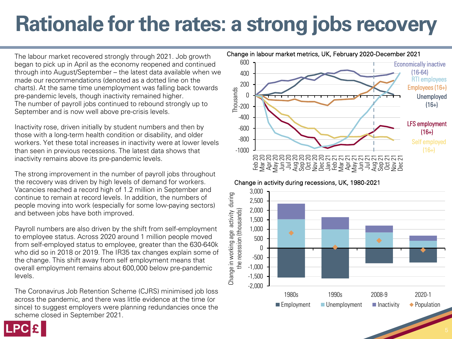### **Rationale for the rates: a strong jobs recovery**

The labour market recovered strongly through 2021. Job growth began to pick up in April as the economy reopened and continued through into August/September – the latest data available when we made our recommendations (denoted as a dotted line on the charts). At the same time unemployment was falling back towards pre-pandemic levels, though inactivity remained higher. The number of payroll jobs continued to rebound strongly up to September and is now well above pre-crisis levels.

Inactivity rose, driven initially by student numbers and then by those with a long-term health condition or disability, and older workers. Yet these total increases in inactivity were at lower levels than seen in previous recessions. The latest data shows that inactivity remains above its pre-pandemic levels.

The strong improvement in the number of payroll jobs throughout the recovery was driven by high levels of demand for workers. Vacancies reached a record high of 1.2 million in September and continue to remain at record levels. In addition, the numbers of people moving into work (especially for some low-paying sectors) and between jobs have both improved.

Payroll numbers are also driven by the shift from self-employment to employee status. Across 2020 around 1 million people moved from self-employed status to employee, greater than the 630-640k who did so in 2018 or 2019. The IR35 tax changes explain some of the change. This shift away from self employment means that overall employment remains about 600,000 below pre-pandemic levels.

The Coronavirus Job Retention Scheme (CJRS) minimised job loss across the pandemic, and there was little evidence at the time (or since) to suggest employers were planning redundancies once the scheme closed in September 2021.



Change in activity during recessions, UK, 1980-2021

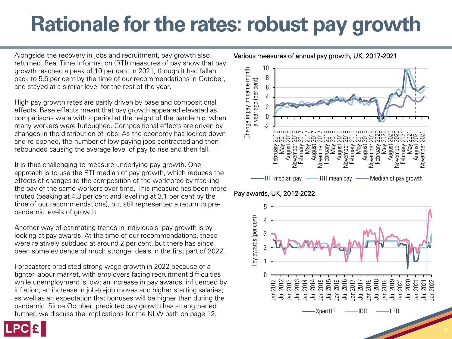### **Rationale for the rates: robust pay growth**

Alongside the recovery in jobs and recruitment, pay growth also returned. Real Time Information (RTI) measures of pay show that pay growth reached a peak of 10 per cent in 2021, though it had fallen back to 5.6 per cent by the time of our recommendations in October, and stayed at a similar level for the rest of the year.

High pay growth rates are partly driven by base and compositional effects. Base effects meant that pay growth appeared elevated as comparisons were with a period at the height of the pandemic, when many workers were furloughed. Compositional effects are driven by changes in the distribution of jobs. As the economy has locked down and re-opened, the number of low-paying jobs contracted and then rebounded causing the average level of pay to rise and then fall.

It is thus challenging to measure underlying pay growth. One approach is to use the RTI median of pay growth, which reduces the effects of changes to the composition of the workforce by tracking the pay of the same workers over time. This measure has been more muted (peaking at 4.3 per cent and levelling at 3.1 per cent by the time of our recommendations), but still represented a return to prepandemic levels of growth.

Another way of estimating trends in individuals' pay growth is by looking at pay awards. At the time of our recommendations, these were relatively subdued at around 2 per cent, but there has since been some evidence of much stronger deals in the first part of 2022.

Forecasters predicted strong wage growth in 2022 because of a tighter labour market, with employers facing recruitment difficulties while unemployment is low; an increase in pay awards, influenced by inflation; an increase in job-to-job moves and higher starting salaries; as well as an expectation that bonuses will be higher than during the pandemic. Since October, predicted pay growth has strengthened further, we discuss the implications for the NLW path on page 12.



#### Pay awards, UK, 2012-2022



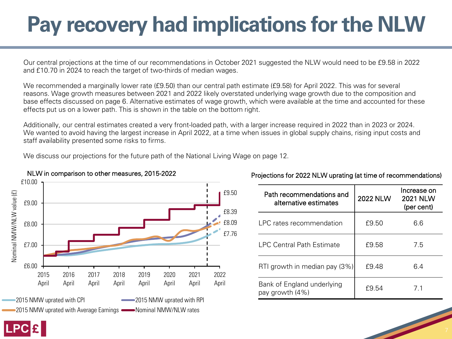# **Pay recovery had implications for the NLW**

Our central projections at the time of our recommendations in October 2021 suggested the NLW would need to be £9.58 in 2022 and £10.70 in 2024 to reach the target of two-thirds of median wages.

We recommended a marginally lower rate (£9.50) than our central path estimate (£9.58) for April 2022. This was for several reasons. Wage growth measures between 2021 and 2022 likely overstated underlying wage growth due to the composition and base effects discussed on page 6. Alternative estimates of wage growth, which were available at the time and accounted for these effects put us on a lower path. This is shown in the table on the bottom right.

Additionally, our central estimates created a very front-loaded path, with a larger increase required in 2022 than in 2023 or 2024. We wanted to avoid having the largest increase in April 2022, at a time when issues in global supply chains, rising input costs and staff availability presented some risks to firms.

We discuss our projections for the future path of the National Living Wage on page 12.



#### NLW in comparison to other measures, 2015-2022

| Path recommendations and<br>alternative estimates | <b>2022 NLW</b> | Increase on<br><b>2021 NLW</b><br>(per cent) |
|---------------------------------------------------|-----------------|----------------------------------------------|
| LPC rates recommendation                          | £9.50           | 6.6                                          |
| <b>LPC Central Path Estimate</b>                  | £9.58           | 7.5                                          |
| RTI growth in median pay (3%)                     | £9.48           | 6.4                                          |
| Bank of England underlying<br>pay growth (4%)     | f9.54           | 71                                           |

#### Projections for 2022 NLW uprating (at time of recommendations)

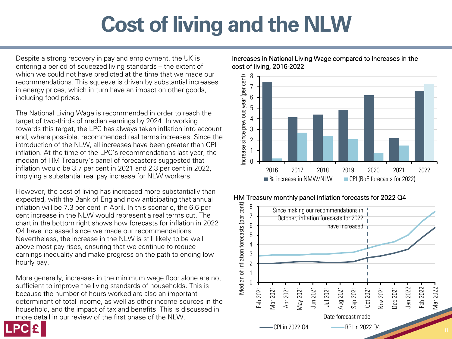# **Cost of living and the NLW**

Despite a strong recovery in pay and employment, the UK is entering a period of squeezed living standards – the extent of which we could not have predicted at the time that we made our recommendations. This squeeze is driven by substantial increases in energy prices, which in turn have an impact on other goods, including food prices.

The National Living Wage is recommended in order to reach the target of two-thirds of median earnings by 2024. In working towards this target, the LPC has always taken inflation into account and, where possible, recommended real terms increases. Since the introduction of the NLW, all increases have been greater than CPI inflation. At the time of the LPC's recommendations last year, the median of HM Treasury's panel of forecasters suggested that inflation would be 3.7 per cent in 2021 and 2.3 per cent in 2022, implying a substantial real pay increase for NLW workers.

However, the cost of living has increased more substantially than expected, with the Bank of England now anticipating that annual inflation will be 7.3 per cent in April. In this scenario, the 6.6 per cent increase in the NLW would represent a real terms cut. The chart in the bottom right shows how forecasts for inflation in 2022 Q4 have increased since we made our recommendations. Nevertheless, the increase in the NLW is still likely to be well above most pay rises, ensuring that we continue to reduce earnings inequality and make progress on the path to ending low hourly pay.

More generally, increases in the minimum wage floor alone are not sufficient to improve the living standards of households. This is because the number of hours worked are also an important determinant of total income, as well as other income sources in the household, and the impact of tax and benefits. This is discussed in more detail in our review of the first phase of the NLW.







#### HM Treasury monthly panel inflation forecasts for 2022 Q4

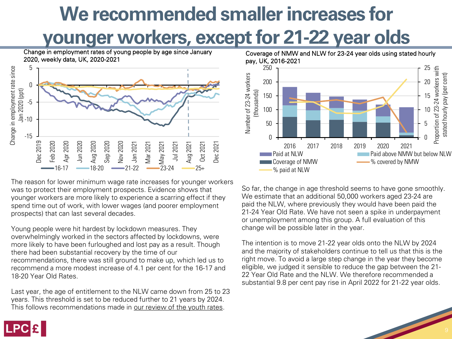# **We recommended smaller increases for**

**younger workers, except for 21-22 year olds**

Change in employment rates of young people by age since January 2020, weekly data, UK, 2020-2021



The reason for lower minimum wage rate increases for younger workers was to protect their employment prospects. Evidence shows that younger workers are more likely to experience a scarring effect if they spend time out of work, with lower wages (and poorer employment prospects) that can last several decades.

Young people were hit hardest by lockdown measures. They overwhelmingly worked in the sectors affected by lockdowns, were more likely to have been furloughed and lost pay as a result. Though there had been substantial recovery by the time of our recommendations, there was still ground to make up, which led us to recommend a more modest increase of 4.1 per cent for the 16-17 and 18-20 Year Old Rates.

Last year, the age of entitlement to the NLW came down from 25 to 23 years. This threshold is set to be reduced further to 21 years by 2024. This follows recommendations made in [our review of the youth rates.](https://www.gov.uk/government/publications/a-review-of-the-youth-rates-of-the-national-minimum-wage)



So far, the change in age threshold seems to have gone smoothly. We estimate that an additional 50,000 workers aged 23-24 are paid the NLW, where previously they would have been paid the 21-24 Year Old Rate. We have not seen a spike in underpayment or unemployment among this group. A full evaluation of this change will be possible later in the year.

The intention is to move 21-22 year olds onto the NLW by 2024 and the majority of stakeholders continue to tell us that this is the right move. To avoid a large step change in the year they become eligible, we judged it sensible to reduce the gap between the 21- 22 Year Old Rate and the NLW. We therefore recommended a substantial 9.8 per cent pay rise in April 2022 for 21-22 year olds.

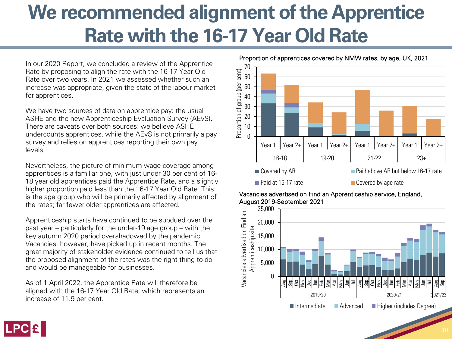### **We recommended alignment of the Apprentice Rate with the 16-17 Year Old Rate**

In our 2020 Report, we concluded a review of the Apprentice Rate by proposing to align the rate with the 16-17 Year Old Rate over two years. In 2021 we assessed whether such an increase was appropriate, given the state of the labour market for apprentices.

We have two sources of data on apprentice pay: the usual ASHE and the new Apprenticeship Evaluation Survey (AEvS). There are caveats over both sources: we believe ASHE undercounts apprentices, while the AEvS is not primarily a pay survey and relies on apprentices reporting their own pay levels.

Nevertheless, the picture of minimum wage coverage among apprentices is a familiar one, with just under 30 per cent of 16- 18 year old apprentices paid the Apprentice Rate, and a slightly higher proportion paid less than the 16-17 Year Old Rate. This is the age group who will be primarily affected by alignment of the rates; far fewer older apprentices are affected.

Apprenticeship starts have continued to be subdued over the past year – particularly for the under-19 age group – with the key autumn 2020 period overshadowed by the pandemic. Vacancies, however, have picked up in recent months. The great majority of stakeholder evidence continued to tell us that the proposed alignment of the rates was the right thing to do and would be manageable for businesses.

As of 1 April 2022, the Apprentice Rate will therefore be aligned with the 16-17 Year Old Rate, which represents an increase of 11.9 per cent.



#### Proportion of apprentices covered by NMW rates, by age, UK, 2021





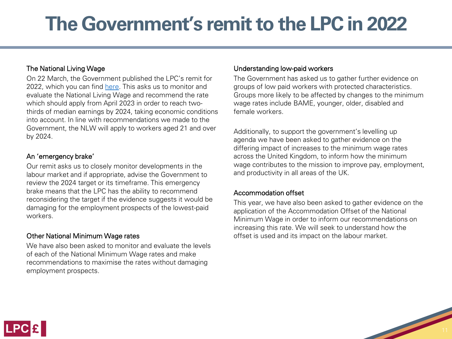### **The Government's remit to the LPC in 2022**

#### The National Living Wage

On 22 March, the Government published the LPC's remit for 2022, which you can find [here.](https://www.gov.uk/government/publications/national-minimum-wage-and-national-living-wage-low-pay-commission-remit-2022) This asks us to monitor and evaluate the National Living Wage and recommend the rate which should apply from April 2023 in order to reach twothirds of median earnings by 2024, taking economic conditions into account. In line with recommendations we made to the Government, the NLW will apply to workers aged 21 and over by 2024.

#### An 'emergency brake'

Our remit asks us to closely monitor developments in the labour market and if appropriate, advise the Government to review the 2024 target or its timeframe. This emergency brake means that the LPC has the ability to recommend reconsidering the target if the evidence suggests it would be damaging for the employment prospects of the lowest-paid workers.

#### Other National Minimum Wage rates

We have also been asked to monitor and evaluate the levels of each of the National Minimum Wage rates and make recommendations to maximise the rates without damaging employment prospects.

#### Understanding low-paid workers

The Government has asked us to gather further evidence on groups of low paid workers with protected characteristics. Groups more likely to be affected by changes to the minimum wage rates include BAME, younger, older, disabled and female workers.

Additionally, to support the government's levelling up agenda we have been asked to gather evidence on the differing impact of increases to the minimum wage rates across the United Kingdom, to inform how the minimum wage contributes to the mission to improve pay, employment, and productivity in all areas of the UK.

#### Accommodation offset

This year, we have also been asked to gather evidence on the application of the Accommodation Offset of the National Minimum Wage in order to inform our recommendations on increasing this rate. We will seek to understand how the offset is used and its impact on the labour market.

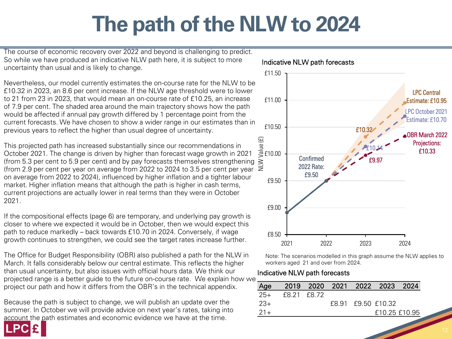# **The path of the NLW to 2024**

The course of economic recovery over 2022 and beyond is challenging to predict. So while we have produced an indicative NLW path here, it is subject to more uncertainty than usual and is likely to change.

Nevertheless, our model currently estimates the on-course rate for the NLW to be £10.32 in 2023, an 8.6 per cent increase. If the NLW age threshold were to lower to 21 from 23 in 2023, that would mean an on-course rate of £10.25, an increase of 7.9 per cent. The shaded area around the main trajectory shows how the path would be affected if annual pay growth differed by 1 percentage point from the current forecasts. We have chosen to show a wider range in our estimates than in previous years to reflect the higher than usual degree of uncertainty.

This projected path has increased substantially since our recommendations in October 2021. The change is driven by higher than forecast wage growth in 2021 (from 5.3 per cent to 5.9 per cent) and by pay forecasts themselves strengthening  $\geq$ (from 2.9 per cent per year on average from 2022 to 2024 to 3.5 per cent per year  $\overline{\ge}$ on average from 2022 to 2024), influenced by higher inflation and a tighter labour market. Higher inflation means that although the path is higher in cash terms, current projections are actually lower in real terms than they were in October 2021.

If the compositional effects (page 6) are temporary, and underlying pay growth is closer to where we expected it would be in October, then we would expect this path to reduce markedly – back towards £10.70 in 2024. Conversely, if wage growth continues to strengthen, we could see the target rates increase further.

The Office for Budget Responsibility (OBR) also published a path for the NLW in March. It falls considerably below our central estimate. This reflects the higher than usual uncertainty, but also issues with official hours data. We think our projected range is a better guide to the future on-course rate. We explain how we project our path and how it differs from the OBR's in the technical appendix.

Because the path is subject to change, we will publish an update over the summer. In October we will provide advice on next year's rates, taking into account the path estimates and economic evidence we have at the time.



Indicative NLW path forecasts

Note: The scenarios modelled in this graph assume the NLW applies to workers aged 21 and over from 2024.

#### Indicative NLW path forecasts

| Age   |             |  | 2019 2020 2021 2022 2023 2024 |  |
|-------|-------------|--|-------------------------------|--|
| $25+$ | f8.21 f8.72 |  |                               |  |
| $23+$ |             |  | £8.91 £9.50 £10.32            |  |
| $21+$ |             |  | £10.25 £10.95                 |  |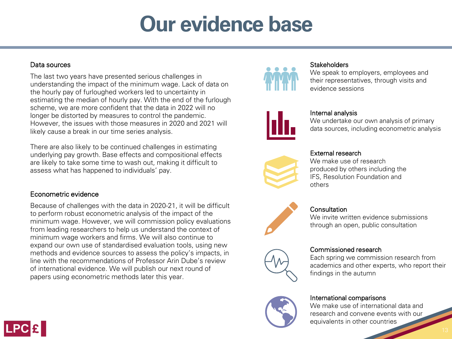### **Our evidence base**

#### Data sources

The last two years have presented serious challenges in understanding the impact of the minimum wage. Lack of data on the hourly pay of furloughed workers led to uncertainty in estimating the median of hourly pay. With the end of the furlough scheme, we are more confident that the data in 2022 will no longer be distorted by measures to control the pandemic. However, the issues with those measures in 2020 and 2021 will likely cause a break in our time series analysis.

There are also likely to be continued challenges in estimating underlying pay growth. Base effects and compositional effects are likely to take some time to wash out, making it difficult to assess what has happened to individuals' pay.

#### Econometric evidence

Because of challenges with the data in 2020-21, it will be difficult to perform robust econometric analysis of the impact of the minimum wage. However, we will commission policy evaluations from leading researchers to help us understand the context of minimum wage workers and firms. We will also continue to expand our own use of standardised evaluation tools, using new methods and evidence sources to assess the policy's impacts, in line with the recommendations of Professor Arin Dube's review of international evidence. We will publish our next round of papers using econometric methods later this year.



#### **Stakeholders**

We speak to employers, employees and their representatives, through visits and evidence sessions



#### Internal analysis

We undertake our own analysis of primary data sources, including econometric analysis



#### External research

We make use of research produced by others including the IFS, Resolution Foundation and others



#### **Consultation**

We invite written evidence submissions through an open, public consultation



#### Commissioned research

Each spring we commission research from academics and other experts, who report their findings in the autumn



#### International comparisons

We make use of international data and research and convene events with our equivalents in other countries

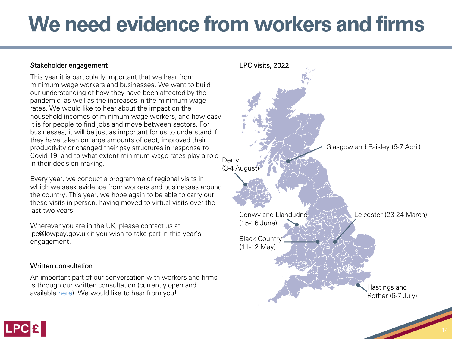### **We need evidence from workers and firms**

#### Stakeholder engagement

This year it is particularly important that we hear from minimum wage workers and businesses. We want to build our understanding of how they have been affected by the pandemic, as well as the increases in the minimum wage rates. We would like to hear about the impact on the household incomes of minimum wage workers, and how easy it is for people to find jobs and move between sectors. For businesses, it will be just as important for us to understand if they have taken on large amounts of debt, improved their productivity or changed their pay structures in response to Covid-19, and to what extent minimum wage rates play a role in their decision-making.

Every year, we conduct a programme of regional visits in which we seek evidence from workers and businesses around the country. This year, we hope again to be able to carry out these visits in person, having moved to virtual visits over the last two years.

Wherever you are in the UK, please contact us at [lpc@lowpay.gov.uk](mailto:lpc@lowpay.gov.uk) if you wish to take part in this year's engagement.

#### Written consultation

An important part of our conversation with workers and firms is through our written consultation (currently open and available [here](https://www.gov.uk/government/consultations/low-pay-commission-consultation-2022)). We would like to hear from you!



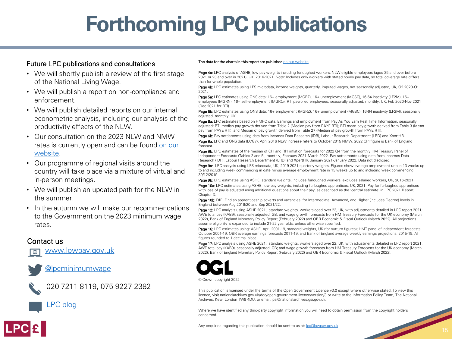## **Forthcoming LPC publications**

#### Future LPC publications and consultations

- We will shortly publish a review of the first stage of the National Living Wage.
- We will publish a report on non-compliance and enforcement.
- We will publish detailed reports on our internal econometric analysis, including our analysis of the productivity effects of the NLW.
- Our consultation on the 2023 NLW and NMW [rates is currently open and can be found on our](https://www.gov.uk/government/consultations/low-pay-commission-consultation-2022)  website.
- Our programme of regional visits around the country will take place via a mixture of virtual and in-person meetings.
- We will publish an updated path for the NLW in the summer.
- In the autumn we will make our recommendations to the Government on the 2023 minimum wage rates.

#### Contact us

[www.lowpay.gov.uk](http://www.lowpay.gov.uk/)





020 7211 8119, 075 9227 2382



#### The data for the charts in this report are published [on our website.](https://www.gov.uk/government/consultations/low-pay-commission-consultation-2020)

Page 4a: LPC analysis of ASHE, low pay weights including furloughed workers, NLW eligible employees (aged 25 and over before 2021 or 23 and over in 2021), UK, 2016-2021. Note: Includes only workers with stated hourly pay data, so total coverage rate differs than for whole population.

Page 4b: LPC estimates using LFS microdata, income weights, quarterly, imputed wages, not seasonally adjusted, UK, Q2 2020-Q1 2021.

Page 5a: LPC estimates using ONS data: 16+ employment (MGRZ), 16+ unemployment (MGSC), 16-64 inactivity (LF2M), 16+ employees (MGRN), 16+ self-employment (MGRQ), RTI payrolled employees, seasonally adjusted, monthly, UK, Feb 2020-Nov 2021 (Dec 2021 for RTI).

Page 5b: LPC estimates using ONS data: 16+ employment (MGRZ), 16+ unemployment (MGSC), 16-64 inactivity (LF2M), seasonally adjusted, monthly, UK.

Page 6a: LPC estimates based on HMRC data. Earnings and employment from Pay As You Earn Real Time Information, seasonally adjusted: RTI median pay growth derived from Table 2 (Median pay from PAYE RTI); RTI mean pay growth derived from Table 3 (Mean pay from PAYE RTI); and Median of pay growth derived from Table 27 (Median of pay growth from PAYE RTI).

Page 6b: Pay settlements using data from Incomes Data Research (IDR), Labour Research Department (LRD) and XpertHR. Page 8a: LPC and ONS data (D7G7). April 2016 NLW increase refers to October 2015 NMW. 2022 CPI figure is Bank of England forecast.

Page 8b: LPC estimates of the median of CPI and RPI inflation forecasts for 2022 Q4 from the monthly HM Treasury Panel of Independent Forecasts (Tables 2 and 5), monthly, February 2021-March 2022. Pay settlements using data from Incomes Data Research (IDR), Labour Research Department (LRD) and XpertHR, January 2021-January 2022. Data not disclosed.

Page 9a: LPC analysis using LFS microdata, UK, 2019-2021, quarterly weights. Figures show average employment rate in 13 weeks up to and including week commencing in date minus average employment rate in 13 weeks up to and including week commencing 30/12/2019.

Page 9b: LPC estimates using ASHE, standard weights, includes furloughed workers, excludes salaried workers, UK, 2016-2021. Page 10a: LPC estimates using ASHE, low pay weights, including furloughed apprentices, UK, 2021. Pay for furloughed apprentices with loss of pay is adjusted using additional questions about their pay, as described as the 'central estimate' in LPC 2021 Report Chapter 3.

Page 10b: DfE 'Find an apprenticeship adverts and vacancies' for Intermediate, Advanced, and Higher (includes Degree) levels in England between Aug 2019/20 and Sep 2021/22.

Page 12: LPC analysis using ASHE 2021, standard weights, workers aged over 23, UK, with adjustments detailed in LPC report 2021; AWE total pay (KAB9), seasonally adjusted, GB; and wage growth forecasts from HM Treasury Forecasts for the UK economy (March 2022), Bank of England Monetary Policy Report (February 2022) and OBR Economic & Fiscal Outlook (March 2022). All projections assume eligibility is expanded to include 21-22 year olds, unless otherwise specified.

Page 16: LPC estimates using: ASHE, April 2001-19, standard weights, UK (for outturn figures); HMT panel of independent forecasts, October 2001-19; OBR average earnings forecasts 2011-19; and Bank of England average weekly earnings projections, 2015-19. All figures rounded to 1 decimal place.

Page 17: LPC analysis using ASHE 2021, standard weights, workers aged over 22, UK, with adjustments detailed in LPC report 2021; AWE total pay (KAB9), seasonally adjusted, GB; and wage growth forecasts from HM Treasury Forecasts for the UK economy (March 2022), Bank of England Monetary Policy Report (February 2022) and OBR Economic & Fiscal Outlook (March 2022).



© Crown copyright 2022

This publication is licensed under the terms of the Open Government Licence v3.0 except where otherwise stated. To view this licence, visit nationalarchives.gov.uk/doc/open-government-licence/version/3 or write to the Information Policy Team, The National Archives, Kew, London TW9 4DU, or email: psi@nationalarchives.gsi.gov.uk.

Where we have identified any third-party copyright information you will need to obtain permission from the copyright holders concerned.

Any enquiries regarding this publication should be sent to us at: [lpc@lowpay.gov.uk](mailto:lpc@lowpay.gov.uk?subject=LPC%20April%202020%20uprating%20report)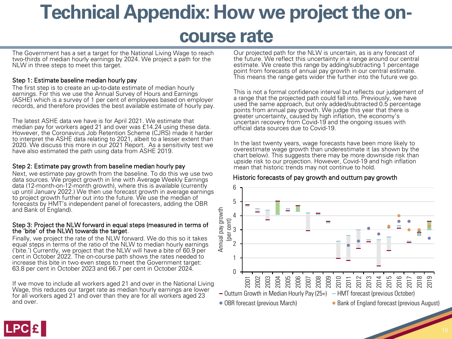### **Technical Appendix: How we project the oncourse rate**

The Government has a set a target for the National Living Wage to reach two-thirds of median hourly earnings by 2024. We project a path for the NLW in three steps to meet this target.

#### Step 1: Estimate baseline median hourly pay

The first step is to create an up-to-date estimate of median hourly earnings. For this we use the Annual Survey of Hours and Earnings (ASHE) which is a survey of 1 per cent of employees based on employer records, and therefore provides the best available estimate of hourly pay.

The latest ASHE data we have is for April 2021. We estimate that median pay for workers aged 21 and over was £14.24 using these data. However, the Coronavirus Job Retention Scheme (CJRS) made it harder to interpret the ASHE data relating to 2021, albeit to a lesser extent than 2020. We discuss this more in our 2021 Report. As a sensitivity test we have also estimated the path using data from ASHE 2019.

#### Step 2: Estimate pay growth from baseline median hourly pay

Next, we estimate pay growth from the baseline. To do this we use two data sources. We project growth in line with Average Weekly Earnings data (12-month-on-12-month growth), where this is available (currently up until January 2022.) We then use forecast growth in average earnings to project growth further out into the future. We use the median of forecasts by HMT's independent panel of forecasters, adding the OBR and Bank of England).

#### Step 3: Project the NLW forward in equal steps (measured in terms of the 'bite' of the NLW) towards the target.

Finally, we project the rate of the NLW forward. We do this so it takes equal steps in terms of the ratio of the NLW to median hourly earnings ('bite.') Currently, we project that the NLW will have a bite of 60.9 per cent in October 2022. The on-course path shows the rates needed to increase this bite in two even steps to meet the Government target: 63.8 per cent in October 2023 and 66.7 per cent in October 2024.

If we move to include all workers aged 21 and over in the National Living Wage, this reduces our target rate as median hourly earnings are lower for all workers aged 21 and over than they are for all workers aged 23 and over.

Our projected path for the NLW is uncertain, as is any forecast of the future. We reflect this uncertainty in a range around our central estimate. We create this range by adding/subtracting 1 percentage point from forecasts of annual pay growth in our central estimate. This means the range gets wider the further into the future we go.

This is not a formal confidence interval but reflects our judgement of a range that the projected path could fall into. Previously, we have used the same approach, but only added/subtracted 0.5 percentage points from annual pay growth. We judge this year that there is greater uncertainty, caused by high inflation, the economy's uncertain recovery from Covid-19 and the ongoing issues with official data sources due to Covid-19.

In the last twenty years, wage forecasts have been more likely to overestimate wage growth than underestimate it (as shown by the chart below). This suggests there may be more downside risk than upside risk to our projection. However, Covid-19 and high inflation mean that historic trends may not continue to hold.

#### Historic forecasts of pay growth and outturn pay growth